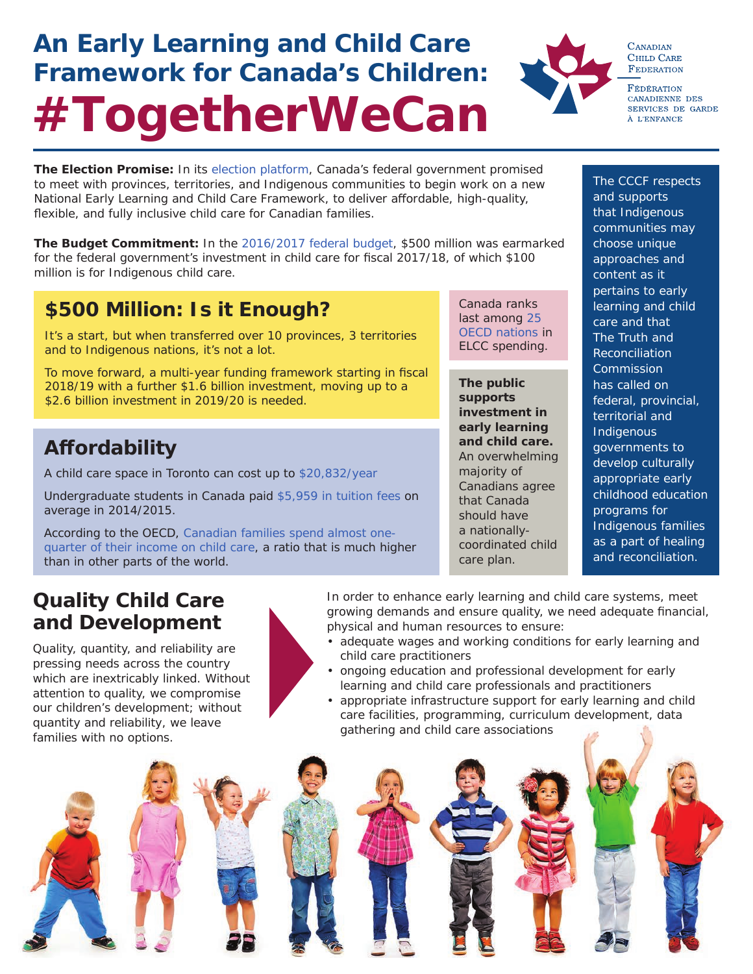# **An Early Learning and Child Care Framework for Canada's Children: #TogetherWeCan**



**CANADIAN CHILD CARE FEDERATION** 

FÉDÉRATION CANADIENNE DES SERVICES DE GARDE À L'ENFANCE

**The Election Promise:** In its [election platform](https://www.liberal.ca/realchange/child-care/), Canada's federal government promised to meet with provinces, territories, and Indigenous communities to begin work on a new National Early Learning and Child Care Framework, to deliver affordable, high-quality, flexible, and fully inclusive child care for Canadian families.

**The Budget Commitment:** In the [2016/2017 federal budget,](http://www.budget.gc.ca/2016/docs/plan/budget2016-en.pdf) \$500 million was earmarked for the federal government's investment in child care for fiscal 2017/18, of which \$100 million is for Indigenous child care.

## **\$500 Million: Is it Enough?**

It's a start, but when transferred over 10 provinces, 3 territories and to Indigenous nations, it's not a lot.

To move forward, a multi-year funding framework starting in fiscal 2018/19 with a further \$1.6 billion investment, moving up to a \$2.6 billion investment in 2019/20 is needed.

## **Aff ordability**

A child care space in Toronto can cost up to [\\$20,832/year](http://globalnews.ca/news/2974609/how-child-care-costs-compare-in-canada-hint-theyre-way-more-than-tuition/)

Undergraduate students in Canada paid [\\$5,959 in tuition fees](http://globalnews.ca/news/1558161/heres-where-youll-pay-the-lowest-and-highest-tuition-in-canada/) on average in 2014/2015.

According to the OECD, [Canadian families spend almost one](http://www.cbc.ca/news/business/oecd-child-care-costs-1.3815954)[quarter of their income on child care,](http://www.cbc.ca/news/business/oecd-child-care-costs-1.3815954) a ratio that is much higher than in other parts of the world.

Canada ranks last among [25](http://www.unicef.or.jp/library/pdf/labo_rc8.pdf)  [OECD nations](http://www.unicef.or.jp/library/pdf/labo_rc8.pdf) in ELCC spending.

**The public supports investment in early learning and child care.** An overwhelming majority of Canadians agree that Canada should have a nationallycoordinated child care plan.

The CCCF respects and supports that Indigenous communities may choose unique approaches and content as it pertains to early learning and child care and that The Truth and **Reconciliation Commission** has called on federal, provincial, territorial and Indigenous governments to develop culturally appropriate early childhood education programs for Indigenous families as a part of healing and reconciliation.

### **Quality Child Care and Development**

Quality, quantity, and reliability are pressing needs across the country which are inextricably linked. Without attention to quality, we compromise our children's development; without quantity and reliability, we leave families with no options.

In order to enhance early learning and child care systems, meet growing demands and ensure quality, we need adequate financial, physical and human resources to ensure:

- adequate wages and working conditions for early learning and child care practitioners
- ongoing education and professional development for early learning and child care professionals and practitioners
- appropriate infrastructure support for early learning and child care facilities, programming, curriculum development, data gathering and child care associations